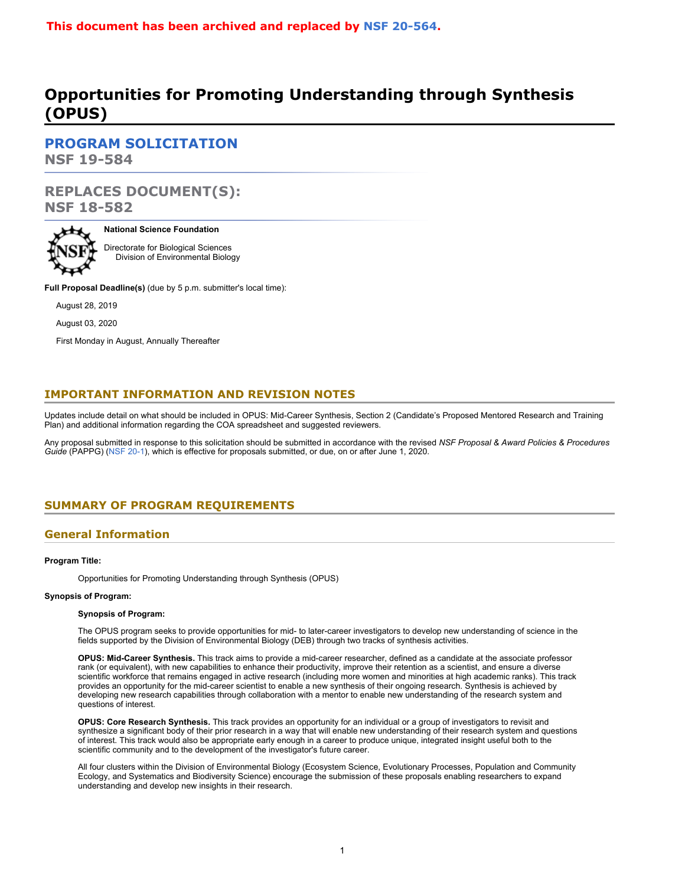# **This document has been archived and replaced by [NSF](https://www.nsf.gov/publications/pub_summ.jsp?ods_key=nsf20564) 20-564.**

# **Opportunities for Promoting Understanding through Synthesis (OPUS)**

**[PROGRAM SOLICITATION](#page-2-0) NSF 19-584**

# **REPLACES DOCUMENT(S): NSF 18-582**



#### **National Science Foundation**

Directorate for Biological Sciences Division of Environmental Biology

**Full Proposal Deadline(s)** (due by 5 p.m. submitter's local time):

August 28, 2019

August 03, 2020

First Monday in August, Annually Thereafter

# **IMPORTANT INFORMATION AND REVISION NOTES**

Updates include detail on what should be included in OPUS: Mid-Career Synthesis, Section 2 (Candidate's Proposed Mentored Research and Training Plan) and additional information regarding the COA spreadsheet and suggested reviewers.

Any proposal submitted in response to this solicitation should be submitted in accordance with the revised *NSF Proposal & Award Policies & Procedures Guide* (PAPPG) [\(NSF 20-1](https://www.nsf.gov/publications/pub_summ.jsp?ods_key=nsf20001&org=NSF)), which is effective for proposals submitted, or due, on or after June 1, 2020.

# <span id="page-0-0"></span>**SUMMARY OF PROGRAM REQUIREMENTS**

### **General Information**

#### **Program Title:**

Opportunities for Promoting Understanding through Synthesis (OPUS)

#### **Synopsis of Program:**

#### **Synopsis of Program:**

The OPUS program seeks to provide opportunities for mid- to later-career investigators to develop new understanding of science in the fields supported by the Division of Environmental Biology (DEB) through two tracks of synthesis activities.

**OPUS: Mid-Career Synthesis.** This track aims to provide a mid-career researcher, defined as a candidate at the associate professor rank (or equivalent), with new capabilities to enhance their productivity, improve their retention as a scientist, and ensure a diverse scientific workforce that remains engaged in active research (including more women and minorities at high academic ranks). This track provides an opportunity for the mid-career scientist to enable a new synthesis of their ongoing research. Synthesis is achieved by developing new research capabilities through collaboration with a mentor to enable new understanding of the research system and questions of interest.

**OPUS: Core Research Synthesis.** This track provides an opportunity for an individual or a group of investigators to revisit and synthesize a significant body of their prior research in a way that will enable new understanding of their research system and questions of interest. This track would also be appropriate early enough in a career to produce unique, integrated insight useful both to the scientific community and to the development of the investigator's future career.

All four clusters within the Division of Environmental Biology (Ecosystem Science, Evolutionary Processes, Population and Community Ecology, and Systematics and Biodiversity Science) encourage the submission of these proposals enabling researchers to expand understanding and develop new insights in their research.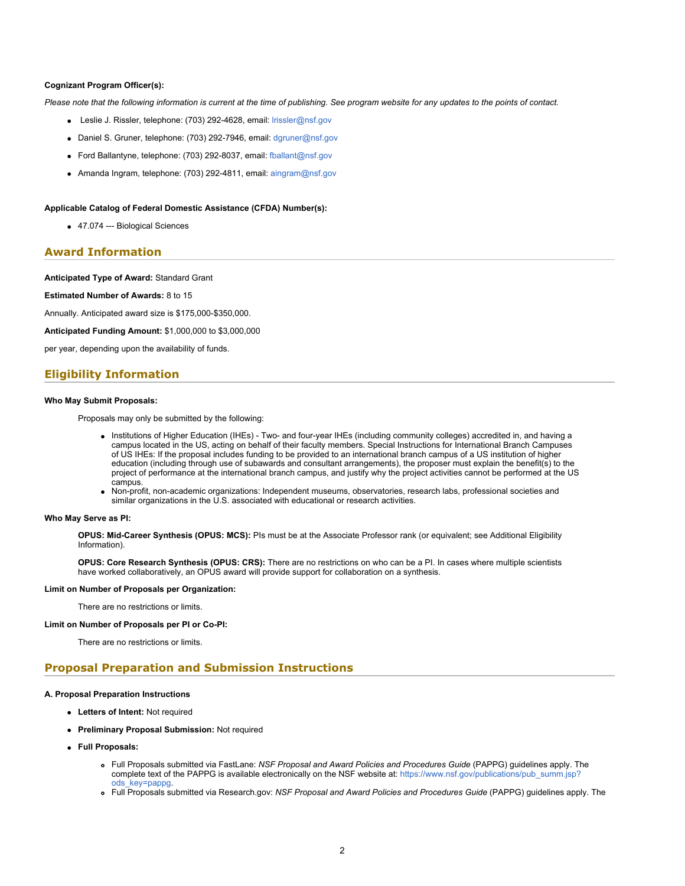#### **Cognizant Program Officer(s):**

*Please note that the following information is current at the time of publishing. See program website for any updates to the points of contact.*

- Leslie J. Rissler, telephone: (703) 292-4628, email: [lrissler@nsf.gov](mailto:lrissler@nsf.gov)
- Daniel S. Gruner, telephone: (703) 292-7946, email: [dgruner@nsf.gov](mailto:dgruner@nsf.gov)
- Ford Ballantyne, telephone: (703) 292-8037, email: [fballant@nsf.gov](mailto:fballant@nsf.gov)
- Amanda Ingram, telephone: (703) 292-4811, email: [aingram@nsf.gov](mailto:aingram@nsf.gov)

#### **Applicable Catalog of Federal Domestic Assistance (CFDA) Number(s):**

47.074 --- Biological Sciences

### **Award Information**

#### **Anticipated Type of Award:** Standard Grant

**Estimated Number of Awards:** 8 to 15

Annually. Anticipated award size is \$175,000-\$350,000.

**Anticipated Funding Amount:** \$1,000,000 to \$3,000,000

per year, depending upon the availability of funds.

### **Eligibility Information**

#### **Who May Submit Proposals:**

Proposals may only be submitted by the following:

- Institutions of Higher Education (IHEs) Two- and four-year IHEs (including community colleges) accredited in, and having a campus located in the US, acting on behalf of their faculty members. Special Instructions for International Branch Campuses of US IHEs: If the proposal includes funding to be provided to an international branch campus of a US institution of higher education (including through use of subawards and consultant arrangements), the proposer must explain the benefit(s) to the project of performance at the international branch campus, and justify why the project activities cannot be performed at the US campus.
- Non-profit, non-academic organizations: Independent museums, observatories, research labs, professional societies and similar organizations in the U.S. associated with educational or research activities.

#### **Who May Serve as PI:**

**OPUS: Mid-Career Synthesis (OPUS: MCS):** PIs must be at the Associate Professor rank (or equivalent; see Additional Eligibility Information).

**OPUS: Core Research Synthesis (OPUS: CRS):** There are no restrictions on who can be a PI. In cases where multiple scientists have worked collaboratively, an OPUS award will provide support for collaboration on a synthesis.

#### **Limit on Number of Proposals per Organization:**

There are no restrictions or limits.

#### **Limit on Number of Proposals per PI or Co-PI:**

There are no restrictions or limits.

### **Proposal Preparation and Submission Instructions**

#### **A. Proposal Preparation Instructions**

- **Letters of Intent:** Not required
- **Preliminary Proposal Submission:** Not required
- **Full Proposals:**
	- Full Proposals submitted via FastLane: *NSF Proposal and Award Policies and Procedures Guide* (PAPPG) guidelines apply. The complete text of the PAPPG is available electronically on the NSF website at: [https://www.nsf.gov/publications/pub\\_summ.jsp?](https://www.nsf.gov/publications/pub_summ.jsp?ods_key=pappg) [ods\\_key=pappg.](https://www.nsf.gov/publications/pub_summ.jsp?ods_key=pappg)
	- Full Proposals submitted via Research.gov: *NSF Proposal and Award Policies and Procedures Guide* (PAPPG) guidelines apply. The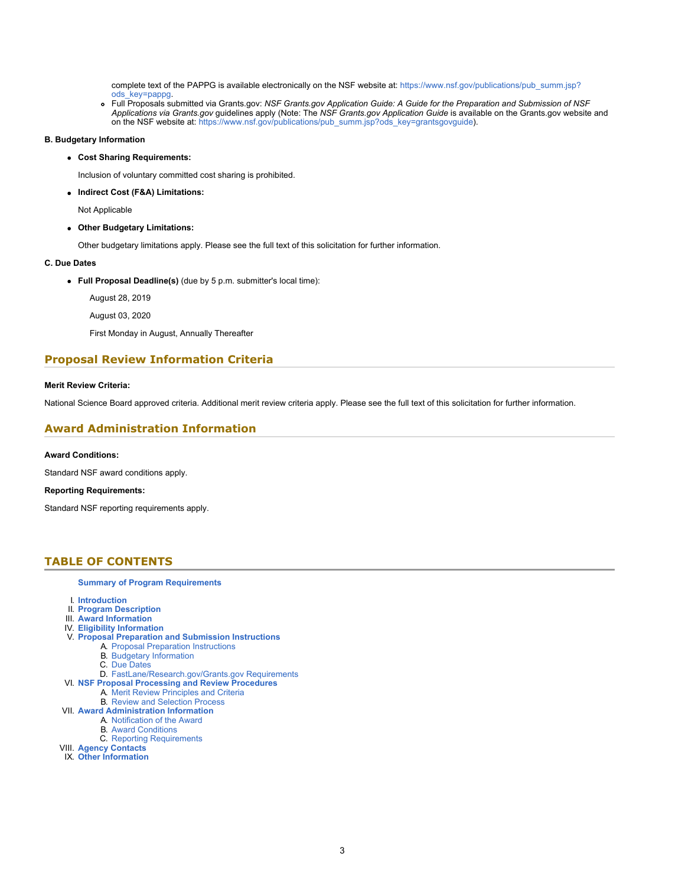complete text of the PAPPG is available electronically on the NSF website at: [https://www.nsf.gov/publications/pub\\_summ.jsp?](https://www.nsf.gov/publications/pub_summ.jsp?ods_key=pappg) [ods\\_key=pappg.](https://www.nsf.gov/publications/pub_summ.jsp?ods_key=pappg)

Full Proposals submitted via Grants.gov: *NSF Grants.gov Application Guide: A Guide for the Preparation and Submission of NSF Applications via Grants.gov* guidelines apply (Note: The *NSF Grants.gov Application Guide* is available on the Grants.gov website and on the NSF website at: [https://www.nsf.gov/publications/pub\\_summ.jsp?ods\\_key=grantsgovguide](https://www.nsf.gov/publications/pub_summ.jsp?ods_key=grantsgovguide)).

#### **B. Budgetary Information**

**Cost Sharing Requirements:**

Inclusion of voluntary committed cost sharing is prohibited.

**Indirect Cost (F&A) Limitations:**

Not Applicable

**Other Budgetary Limitations:**

Other budgetary limitations apply. Please see the full text of this solicitation for further information.

#### **C. Due Dates**

**Full Proposal Deadline(s)** (due by 5 p.m. submitter's local time):

August 28, 2019

August 03, 2020

First Monday in August, Annually Thereafter

### **Proposal Review Information Criteria**

#### **Merit Review Criteria:**

National Science Board approved criteria. Additional merit review criteria apply. Please see the full text of this solicitation for further information.

### **Award Administration Information**

#### **Award Conditions:**

Standard NSF award conditions apply.

#### **Reporting Requirements:**

Standard NSF reporting requirements apply.

### <span id="page-2-0"></span>**TABLE OF CONTENTS**

#### **[Summary of Program Requirements](#page-0-0)**

- I. **[Introduction](#page-3-0)**
- II. **[Program Description](#page-3-1)**
- III. **[Award Information](#page-3-2)**
- IV. **[Eligibility Information](#page-3-3)**
- V. **[Proposal Preparation and Submission Instructions](#page-4-0)**
	- A. [Proposal Preparation Instructions](#page-4-0) B. [Budgetary Information](#page-6-0)
		- C. [Due Dates](#page-6-1)
		-
	- D. [FastLane/Research.gov/Grants.gov Requirements](#page-7-0)
- VI. **[NSF Proposal Processing and Review Procedures](#page-7-1)** A. [Merit Review Principles and Criteria](#page-8-0)
	- B. [Review and Selection Process](#page-9-0)
- VII. **[Award Administration Information](#page-9-1)**
	- A. [Notification of the Award](#page-9-2)
		- B. [Award Conditions](#page-9-3)
	- C. [Reporting Requirements](#page-9-4)
- VIII. **[Agency Contacts](#page-10-0)**
- IX. **[Other Information](#page-10-1)**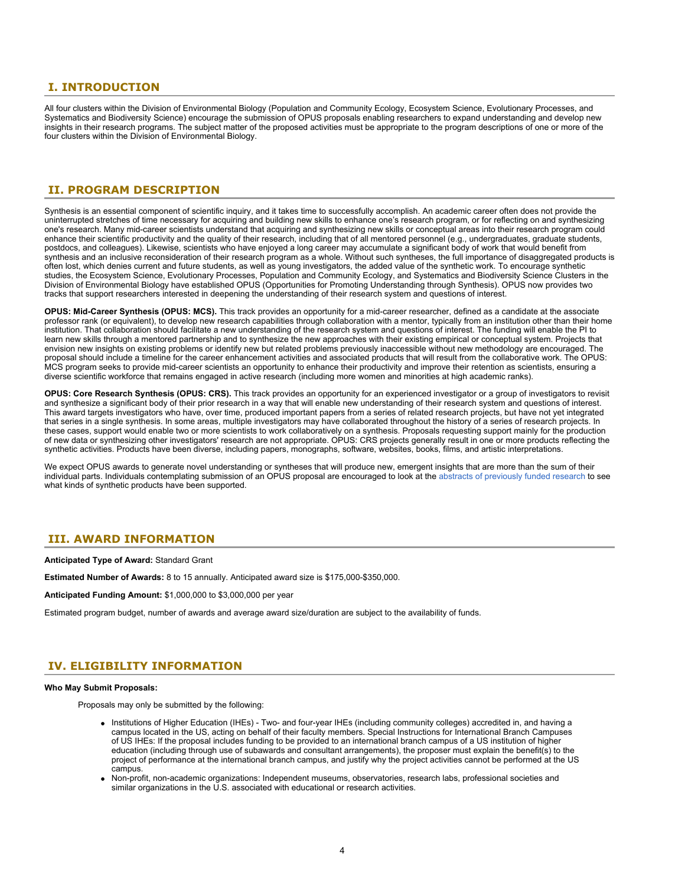### <span id="page-3-0"></span>**I. INTRODUCTION**

All four clusters within the Division of Environmental Biology (Population and Community Ecology, Ecosystem Science, Evolutionary Processes, and Systematics and Biodiversity Science) encourage the submission of OPUS proposals enabling researchers to expand understanding and develop new insights in their research programs. The subject matter of the proposed activities must be appropriate to the program descriptions of one or more of the four clusters within the Division of Environmental Biology.

### <span id="page-3-1"></span>**II. PROGRAM DESCRIPTION**

Synthesis is an essential component of scientific inquiry, and it takes time to successfully accomplish. An academic career often does not provide the uninterrupted stretches of time necessary for acquiring and building new skills to enhance one's research program, or for reflecting on and synthesizing one's research. Many mid-career scientists understand that acquiring and synthesizing new skills or conceptual areas into their research program could enhance their scientific productivity and the quality of their research, including that of all mentored personnel (e.g., undergraduates, graduate students, postdocs, and colleagues). Likewise, scientists who have enjoyed a long career may accumulate a significant body of work that would benefit from synthesis and an inclusive reconsideration of their research program as a whole. Without such syntheses, the full importance of disaggregated products is often lost, which denies current and future students, as well as young investigators, the added value of the synthetic work. To encourage synthetic studies, the Ecosystem Science, Evolutionary Processes, Population and Community Ecology, and Systematics and Biodiversity Science Clusters in the Division of Environmental Biology have established OPUS (Opportunities for Promoting Understanding through Synthesis). OPUS now provides two tracks that support researchers interested in deepening the understanding of their research system and questions of interest.

**OPUS: Mid-Career Synthesis (OPUS: MCS).** This track provides an opportunity for a mid-career researcher, defined as a candidate at the associate professor rank (or equivalent), to develop new research capabilities through collaboration with a mentor, typically from an institution other than their home institution. That collaboration should facilitate a new understanding of the research system and questions of interest. The funding will enable the PI to learn new skills through a mentored partnership and to synthesize the new approaches with their existing empirical or conceptual system. Projects that envision new insights on existing problems or identify new but related problems previously inaccessible without new methodology are encouraged. The proposal should include a timeline for the career enhancement activities and associated products that will result from the collaborative work. The OPUS: MCS program seeks to provide mid-career scientists an opportunity to enhance their productivity and improve their retention as scientists, ensuring a diverse scientific workforce that remains engaged in active research (including more women and minorities at high academic ranks).

**OPUS: Core Research Synthesis (OPUS: CRS).** This track provides an opportunity for an experienced investigator or a group of investigators to revisit and synthesize a significant body of their prior research in a way that will enable new understanding of their research system and questions of interest. This award targets investigators who have, over time, produced important papers from a series of related research projects, but have not yet integrated that series in a single synthesis. In some areas, multiple investigators may have collaborated throughout the history of a series of research projects. In these cases, support would enable two or more scientists to work collaboratively on a synthesis. Proposals requesting support mainly for the production of new data or synthesizing other investigators' research are not appropriate. OPUS: CRS projects generally result in one or more products reflecting the synthetic activities. Products have been diverse, including papers, monographs, software, websites, books, films, and artistic interpretations.

We expect OPUS awards to generate novel understanding or syntheses that will produce new, emergent insights that are more than the sum of their individual parts. Individuals contemplating submission of an OPUS proposal are encouraged to look at the [abstracts of previously funded research](https://www.nsf.gov/awardsearch/advancedSearchResult?ProgOrganization=08000000&BooleanElement=ANY&ProgRefCode=7565&BooleanRef=ANY&ActiveAwards=true&) to see what kinds of synthetic products have been supported.

### <span id="page-3-2"></span>**III. AWARD INFORMATION**

**Anticipated Type of Award:** Standard Grant

**Estimated Number of Awards:** 8 to 15 annually. Anticipated award size is \$175,000-\$350,000.

**Anticipated Funding Amount:** \$1,000,000 to \$3,000,000 per year

Estimated program budget, number of awards and average award size/duration are subject to the availability of funds.

### <span id="page-3-3"></span>**IV. ELIGIBILITY INFORMATION**

#### **Who May Submit Proposals:**

Proposals may only be submitted by the following:

- Institutions of Higher Education (IHEs) Two- and four-year IHEs (including community colleges) accredited in, and having a campus located in the US, acting on behalf of their faculty members. Special Instructions for International Branch Campuses of US IHEs: If the proposal includes funding to be provided to an international branch campus of a US institution of higher education (including through use of subawards and consultant arrangements), the proposer must explain the benefit(s) to the project of performance at the international branch campus, and justify why the project activities cannot be performed at the US campus.
- Non-profit, non-academic organizations: Independent museums, observatories, research labs, professional societies and similar organizations in the U.S. associated with educational or research activities.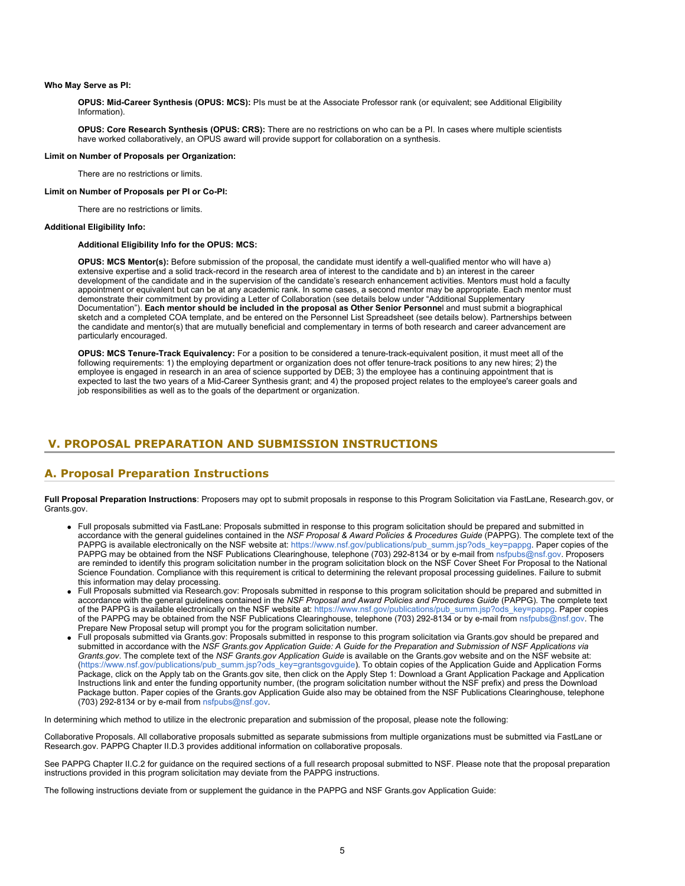#### **Who May Serve as PI:**

**OPUS: Mid-Career Synthesis (OPUS: MCS):** PIs must be at the Associate Professor rank (or equivalent; see Additional Eligibility Information).

**OPUS: Core Research Synthesis (OPUS: CRS):** There are no restrictions on who can be a PI. In cases where multiple scientists have worked collaboratively, an OPUS award will provide support for collaboration on a synthesis.

#### **Limit on Number of Proposals per Organization:**

There are no restrictions or limits.

#### **Limit on Number of Proposals per PI or Co-PI:**

There are no restrictions or limits.

#### **Additional Eligibility Info:**

#### **Additional Eligibility Info for the OPUS: MCS:**

**OPUS: MCS Mentor(s):** Before submission of the proposal, the candidate must identify a well-qualified mentor who will have a) extensive expertise and a solid track-record in the research area of interest to the candidate and b) an interest in the career development of the candidate and in the supervision of the candidate's research enhancement activities. Mentors must hold a faculty appointment or equivalent but can be at any academic rank. In some cases, a second mentor may be appropriate. Each mentor must demonstrate their commitment by providing a Letter of Collaboration (see details below under "Additional Supplementary Documentation"). **Each mentor should be included in the proposal as Other Senior Personne**l and must submit a biographical sketch and a completed COA template, and be entered on the Personnel List Spreadsheet (see details below). Partnerships between the candidate and mentor(s) that are mutually beneficial and complementary in terms of both research and career advancement are particularly encouraged.

**OPUS: MCS Tenure-Track Equivalency:** For a position to be considered a tenure-track-equivalent position, it must meet all of the following requirements: 1) the employing department or organization does not offer tenure-track positions to any new hires; 2) the employee is engaged in research in an area of science supported by DEB; 3) the employee has a continuing appointment that is expected to last the two years of a Mid-Career Synthesis grant; and 4) the proposed project relates to the employee's career goals and job responsibilities as well as to the goals of the department or organization.

### <span id="page-4-0"></span>**V. PROPOSAL PREPARATION AND SUBMISSION INSTRUCTIONS**

### **A. Proposal Preparation Instructions**

**Full Proposal Preparation Instructions**: Proposers may opt to submit proposals in response to this Program Solicitation via FastLane, Research.gov, or Grants cov.

- Full proposals submitted via FastLane: Proposals submitted in response to this program solicitation should be prepared and submitted in accordance with the general guidelines contained in the *NSF Proposal & Award Policies & Procedures Guide* (PAPPG). The complete text of the PAPPG is available electronically on the NSF website at: [https://www.nsf.gov/publications/pub\\_summ.jsp?ods\\_key=pappg](https://www.nsf.gov/publications/pub_summ.jsp?ods_key=pappg). Paper copies of the PAPPG may be obtained from the NSF Publications Clearinghouse, telephone (703) 292-8134 or by e-mail from [nsfpubs@nsf.gov](mailto:nsfpubs@nsf.gov). Proposers are reminded to identify this program solicitation number in the program solicitation block on the NSF Cover Sheet For Proposal to the National Science Foundation. Compliance with this requirement is critical to determining the relevant proposal processing guidelines. Failure to submit this information may delay processing.
- Full Proposals submitted via Research.gov: Proposals submitted in response to this program solicitation should be prepared and submitted in accordance with the general guidelines contained in the *NSF Proposal and Award Policies and Procedures Guide* (PAPPG). The complete text of the PAPPG is available electronically on the NSF website at: [https://www.nsf.gov/publications/pub\\_summ.jsp?ods\\_key=pappg](https://www.nsf.gov/publications/pub_summ.jsp?ods_key=pappg). Paper copies of the PAPPG may be obtained from the NSF Publications Clearinghouse, telephone (703) 292-8134 or by e-mail from [nsfpubs@nsf.gov](mailto:nsfpubs@nsf.gov). The Prepare New Proposal setup will prompt you for the program solicitation number.
- Full proposals submitted via Grants.gov: Proposals submitted in response to this program solicitation via Grants.gov should be prepared and submitted in accordance with the *NSF Grants.gov Application Guide: A Guide for the Preparation and Submission of NSF Applications via Grants.gov*. The complete text of the *NSF Grants.gov Application Guide* is available on the Grants.gov website and on the NSF website at: [\(https://www.nsf.gov/publications/pub\\_summ.jsp?ods\\_key=grantsgovguide](https://www.nsf.gov/publications/pub_summ.jsp?ods_key=grantsgovguide)). To obtain copies of the Application Guide and Application Forms Package, click on the Apply tab on the Grants.gov site, then click on the Apply Step 1: Download a Grant Application Package and Application Instructions link and enter the funding opportunity number, (the program solicitation number without the NSF prefix) and press the Download Package button. Paper copies of the Grants.gov Application Guide also may be obtained from the NSF Publications Clearinghouse, telephone (703) 292-8134 or by e-mail from [nsfpubs@nsf.gov](mailto:nsfpubs@nsf.gov).

In determining which method to utilize in the electronic preparation and submission of the proposal, please note the following:

Collaborative Proposals. All collaborative proposals submitted as separate submissions from multiple organizations must be submitted via FastLane or Research.gov. PAPPG Chapter II.D.3 provides additional information on collaborative proposals.

See PAPPG Chapter II.C.2 for guidance on the required sections of a full research proposal submitted to NSF. Please note that the proposal preparation instructions provided in this program solicitation may deviate from the PAPPG instructions.

The following instructions deviate from or supplement the guidance in the PAPPG and NSF Grants.gov Application Guide: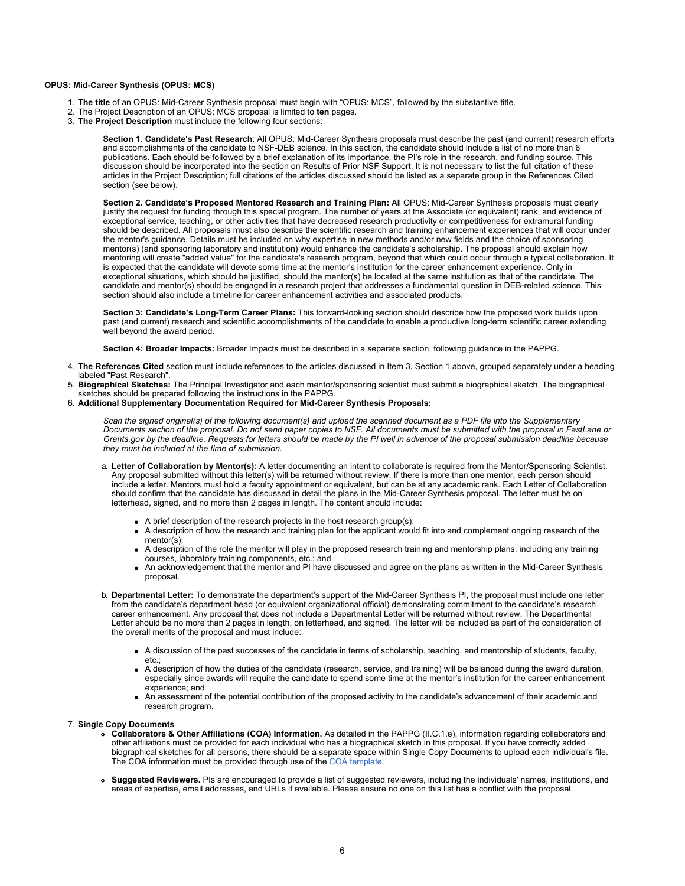#### **OPUS: Mid-Career Synthesis (OPUS: MCS)**

- 1. **The title** of an OPUS: Mid-Career Synthesis proposal must begin with "OPUS: MCS", followed by the substantive title.
- 2. The Project Description of an OPUS: MCS proposal is limited to **ten** pages.
- 3. **The Project Description** must include the following four sections:

**Section 1. Candidate's Past Research**: All OPUS: Mid-Career Synthesis proposals must describe the past (and current) research efforts and accomplishments of the candidate to NSF-DEB science. In this section, the candidate should include a list of no more than 6 publications. Each should be followed by a brief explanation of its importance, the PI's role in the research, and funding source. This discussion should be incorporated into the section on Results of Prior NSF Support. It is not necessary to list the full citation of these articles in the Project Description; full citations of the articles discussed should be listed as a separate group in the References Cited section (see below).

**Section 2. Candidate's Proposed Mentored Research and Training Plan:** All OPUS: Mid-Career Synthesis proposals must clearly justify the request for funding through this special program. The number of years at the Associate (or equivalent) rank, and evidence of exceptional service, teaching, or other activities that have decreased research productivity or competitiveness for extramural funding should be described. All proposals must also describe the scientific research and training enhancement experiences that will occur under the mentor's guidance. Details must be included on why expertise in new methods and/or new fields and the choice of sponsoring mentor(s) (and sponsoring laboratory and institution) would enhance the candidate's scholarship. The proposal should explain how mentoring will create "added value" for the candidate's research program, beyond that which could occur through a typical collaboration. It is expected that the candidate will devote some time at the mentor's institution for the career enhancement experience. Only in exceptional situations, which should be justified, should the mentor(s) be located at the same institution as that of the candidate. The candidate and mentor(s) should be engaged in a research project that addresses a fundamental question in DEB-related science. This section should also include a timeline for career enhancement activities and associated products.

**Section 3: Candidate's Long-Term Career Plans:** This forward-looking section should describe how the proposed work builds upon past (and current) research and scientific accomplishments of the candidate to enable a productive long-term scientific career extending well beyond the award period.

**Section 4: Broader Impacts:** Broader Impacts must be described in a separate section, following guidance in the PAPPG.

- 4. **The References Cited** section must include references to the articles discussed in Item 3, Section 1 above, grouped separately under a heading labeled "Past Research".
- 5. **Biographical Sketches:** The Principal Investigator and each mentor/sponsoring scientist must submit a biographical sketch. The biographical sketches should be prepared following the instructions in the PAPPG.
- 6. **Additional Supplementary Documentation Required for Mid-Career Synthesis Proposals:**

*Scan the signed original(s) of the following document(s) and upload the scanned document as a PDF file into the Supplementary Documents section of the proposal. Do not send paper copies to NSF. All documents must be submitted with the proposal in FastLane or Grants.gov by the deadline. Requests for letters should be made by the PI well in advance of the proposal submission deadline because they must be included at the time of submission.*

- a. **Letter of Collaboration by Mentor(s):** A letter documenting an intent to collaborate is required from the Mentor/Sponsoring Scientist. Any proposal submitted without this letter(s) will be returned without review. If there is more than one mentor, each person should include a letter. Mentors must hold a faculty appointment or equivalent, but can be at any academic rank. Each Letter of Collaboration should confirm that the candidate has discussed in detail the plans in the Mid-Career Synthesis proposal. The letter must be on letterhead, signed, and no more than 2 pages in length. The content should include:
	- A brief description of the research projects in the host research group(s);
	- A description of how the research and training plan for the applicant would fit into and complement ongoing research of the mentor(s);
	- A description of the role the mentor will play in the proposed research training and mentorship plans, including any training courses, laboratory training components, etc.; and
	- An acknowledgement that the mentor and PI have discussed and agree on the plans as written in the Mid-Career Synthesis proposal.
- b. **Departmental Letter:** To demonstrate the department's support of the Mid-Career Synthesis PI, the proposal must include one letter from the candidate's department head (or equivalent organizational official) demonstrating commitment to the candidate's research career enhancement. Any proposal that does not include a Departmental Letter will be returned without review. The Departmental Letter should be no more than 2 pages in length, on letterhead, and signed. The letter will be included as part of the consideration of the overall merits of the proposal and must include:
	- A discussion of the past successes of the candidate in terms of scholarship, teaching, and mentorship of students, faculty, etc.;
	- A description of how the duties of the candidate (research, service, and training) will be balanced during the award duration, especially since awards will require the candidate to spend some time at the mentor's institution for the career enhancement experience; and
	- An assessment of the potential contribution of the proposed activity to the candidate's advancement of their academic and research program.

#### 7. **Single Copy Documents**

- **Collaborators & Other Affiliations (COA) Information.** As detailed in the PAPPG (II.C.1.e), information regarding collaborators and other affiliations must be provided for each individual who has a biographical sketch in this proposal. If you have correctly added biographical sketches for all persons, there should be a separate space within Single Copy Documents to upload each individual's file. The COA information must be provided through use of the [COA template](https://nsf.gov/bfa/dias/policy/coa.jsp).
- **Suggested Reviewers.** PIs are encouraged to provide a list of suggested reviewers, including the individuals' names, institutions, and areas of expertise, email addresses, and URLs if available. Please ensure no one on this list has a conflict with the proposal.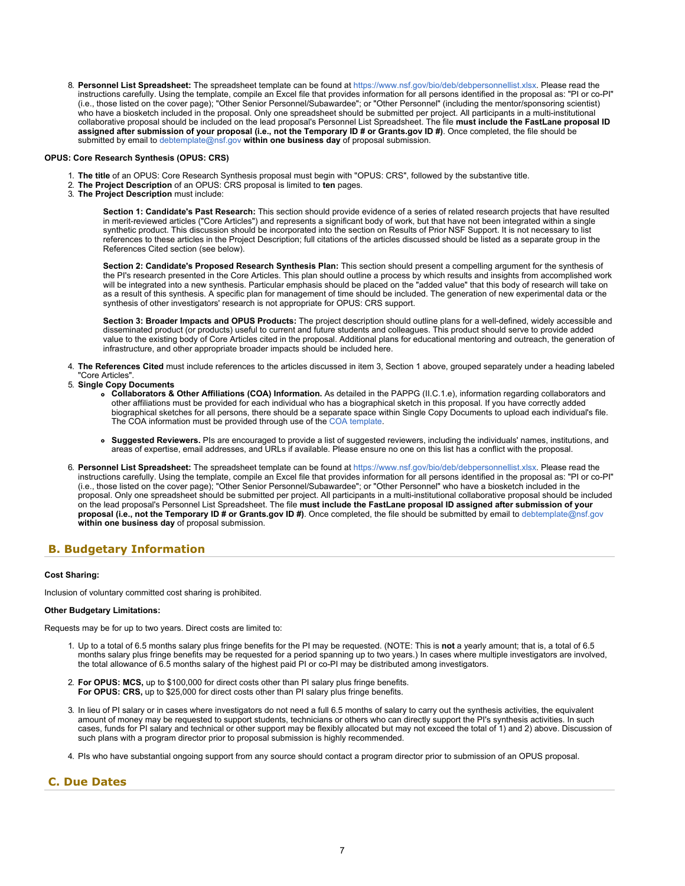<span id="page-6-1"></span>8. Personnel List Spreadsheet: The spreadsheet template can be found at<https://www.nsf.gov/bio/deb/debpersonnellist.xlsx>. Please read the instructions carefully. Using the template, compile an Excel file that provides information for all persons identified in the proposal as: "PI or co-PI" (i.e., those listed on the cover page); "Other Senior Personnel/Subawardee"; or "Other Personnel" (including the mentor/sponsoring scientist) who have a biosketch included in the proposal. Only one spreadsheet should be submitted per project. All participants in a multi-institutional collaborative proposal should be included on the lead proposal's Personnel List Spreadsheet. The file **must include the FastLane proposal ID assigned after submission of your proposal (i.e., not the Temporary ID # or Grants.gov ID #)**. Once completed, the file should be submitted by email to [debtemplate@nsf.gov](mailto:debtemplate@nsf.gov) **within one business day** of proposal submission.

#### **OPUS: Core Research Synthesis (OPUS: CRS)**

- 1. **The title** of an OPUS: Core Research Synthesis proposal must begin with "OPUS: CRS", followed by the substantive title.
- 2. **The Project Description** of an OPUS: CRS proposal is limited to **ten** pages.
- 3. **The Project Description** must include:

**Section 1: Candidate's Past Research:** This section should provide evidence of a series of related research projects that have resulted in merit-reviewed articles ("Core Articles") and represents a significant body of work, but that have not been integrated within a single synthetic product. This discussion should be incorporated into the section on Results of Prior NSF Support. It is not necessary to list references to these articles in the Project Description; full citations of the articles discussed should be listed as a separate group in the References Cited section (see below).

**Section 2: Candidate's Proposed Research Synthesis Plan:** This section should present a compelling argument for the synthesis of the PI's research presented in the Core Articles. This plan should outline a process by which results and insights from accomplished work will be integrated into a new synthesis. Particular emphasis should be placed on the "added value" that this body of research will take on as a result of this synthesis. A specific plan for management of time should be included. The generation of new experimental data or the synthesis of other investigators' research is not appropriate for OPUS: CRS support.

**Section 3: Broader Impacts and OPUS Products:** The project description should outline plans for a well-defined, widely accessible and disseminated product (or products) useful to current and future students and colleagues. This product should serve to provide added value to the existing body of Core Articles cited in the proposal. Additional plans for educational mentoring and outreach, the generation of infrastructure, and other appropriate broader impacts should be included here.

- 4. **The References Cited** must include references to the articles discussed in item 3, Section 1 above, grouped separately under a heading labeled "Core Articles".
- 5. **Single Copy Documents**
	- **Collaborators & Other Affiliations (COA) Information.** As detailed in the PAPPG (II.C.1.e), information regarding collaborators and other affiliations must be provided for each individual who has a biographical sketch in this proposal. If you have correctly added biographical sketches for all persons, there should be a separate space within Single Copy Documents to upload each individual's file. The COA information must be provided through use of the [COA template](https://nsf.gov/bfa/dias/policy/coa.jsp).
	- **Suggested Reviewers.** PIs are encouraged to provide a list of suggested reviewers, including the individuals' names, institutions, and areas of expertise, email addresses, and URLs if available. Please ensure no one on this list has a conflict with the proposal.
- 6. **Personnel List Spreadsheet:** The spreadsheet template can be found at<https://www.nsf.gov/bio/deb/debpersonnellist.xlsx>. Please read the instructions carefully. Using the template, compile an Excel file that provides information for all persons identified in the proposal as: "PI or co-PI" (i.e., those listed on the cover page); "Other Senior Personnel/Subawardee"; or "Other Personnel" who have a biosketch included in the proposal. Only one spreadsheet should be submitted per project. All participants in a multi-institutional collaborative proposal should be included on the lead proposal's Personnel List Spreadsheet. The file **must include the FastLane proposal ID assigned after submission of your proposal (i.e., not the Temporary ID # or Grants.gov ID #)**. Once completed, the file should be submitted by email to [debtemplate@nsf.gov](mailto:debtemplate@nsf.gov) **within one business day** of proposal submission.

### <span id="page-6-0"></span>**B. Budgetary Information**

#### **Cost Sharing:**

Inclusion of voluntary committed cost sharing is prohibited.

#### **Other Budgetary Limitations:**

Requests may be for up to two years. Direct costs are limited to:

- 1. Up to a total of 6.5 months salary plus fringe benefits for the PI may be requested. (NOTE: This is **not** a yearly amount; that is, a total of 6.5 months salary plus fringe benefits may be requested for a period spanning up to two years.) In cases where multiple investigators are involved, the total allowance of 6.5 months salary of the highest paid PI or co-PI may be distributed among investigators.
- 2. **For OPUS: MCS,** up to \$100,000 for direct costs other than PI salary plus fringe benefits. **For OPUS: CRS,** up to \$25,000 for direct costs other than PI salary plus fringe benefits.
- 3. In lieu of PI salary or in cases where investigators do not need a full 6.5 months of salary to carry out the synthesis activities, the equivalent amount of money may be requested to support students, technicians or others who can directly support the PI's synthesis activities. In such cases, funds for PI salary and technical or other support may be flexibly allocated but may not exceed the total of 1) and 2) above. Discussion of such plans with a program director prior to proposal submission is highly recommended.
- 4. PIs who have substantial ongoing support from any source should contact a program director prior to submission of an OPUS proposal.

### **C. Due Dates**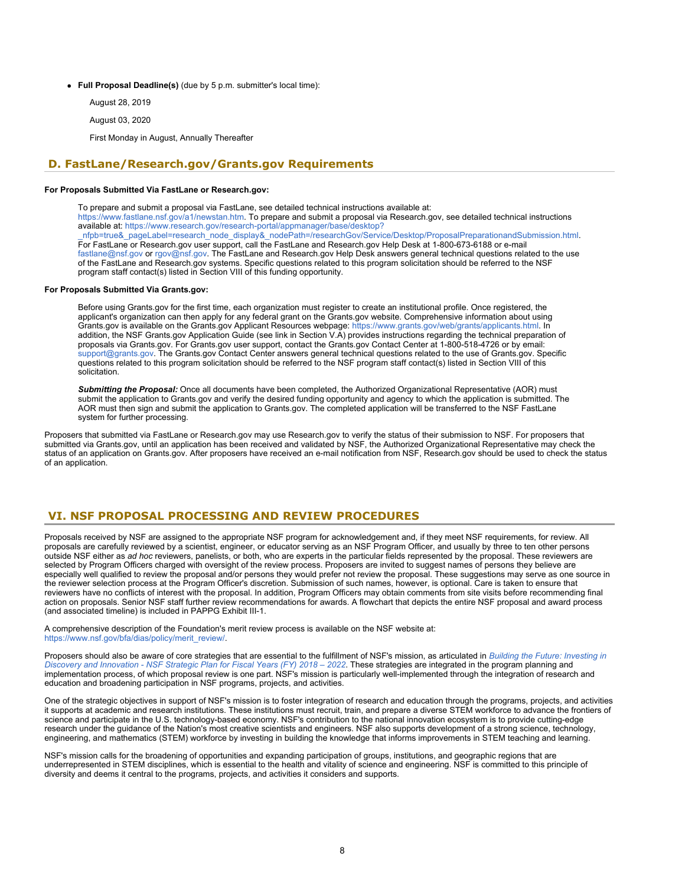- **Full Proposal Deadline(s)** (due by 5 p.m. submitter's local time):
	- August 28, 2019
	- August 03, 2020
	- First Monday in August, Annually Thereafter

### <span id="page-7-0"></span>**D. FastLane/Research.gov/Grants.gov Requirements**

#### **For Proposals Submitted Via FastLane or Research.gov:**

To prepare and submit a proposal via FastLane, see detailed technical instructions available at: <https://www.fastlane.nsf.gov/a1/newstan.htm>. To prepare and submit a proposal via Research.gov, see detailed technical instructions available at: [https://www.research.gov/research-portal/appmanager/base/desktop?](https://www.research.gov/research-portal/appmanager/base/desktop?_nfpb=true&_pageLabel=research_node_display&_nodePath=/researchGov/Service/Desktop/ProposalPreparationandSubmission.html) [\\_nfpb=true&\\_pageLabel=research\\_node\\_display&\\_nodePath=/researchGov/Service/Desktop/ProposalPreparationandSubmission.html](https://www.research.gov/research-portal/appmanager/base/desktop?_nfpb=true&_pageLabel=research_node_display&_nodePath=/researchGov/Service/Desktop/ProposalPreparationandSubmission.html). For FastLane or Research.gov user support, call the FastLane and Research.gov Help Desk at 1-800-673-6188 or e-mail [fastlane@nsf.gov](mailto:fastlane@nsf.gov) or [rgov@nsf.gov](mailto:rgov@nsf.gov). The FastLane and Research.gov Help Desk answers general technical questions related to the use of the FastLane and Research.gov systems. Specific questions related to this program solicitation should be referred to the NSF program staff contact(s) listed in Section VIII of this funding opportunity.

#### **For Proposals Submitted Via Grants.gov:**

Before using Grants.gov for the first time, each organization must register to create an institutional profile. Once registered, the applicant's organization can then apply for any federal grant on the Grants.gov website. Comprehensive information about using Grants.gov is available on the Grants.gov Applicant Resources webpage:<https://www.grants.gov/web/grants/applicants.html>. In addition, the NSF Grants.gov Application Guide (see link in Section V.A) provides instructions regarding the technical preparation of proposals via Grants.gov. For Grants.gov user support, contact the Grants.gov Contact Center at 1-800-518-4726 or by email: [support@grants.gov.](mailto:support@grants.gov) The Grants.gov Contact Center answers general technical questions related to the use of Grants.gov. Specific questions related to this program solicitation should be referred to the NSF program staff contact(s) listed in Section VIII of this solicitation.

*Submitting the Proposal:* Once all documents have been completed, the Authorized Organizational Representative (AOR) must submit the application to Grants.gov and verify the desired funding opportunity and agency to which the application is submitted. The AOR must then sign and submit the application to Grants.gov. The completed application will be transferred to the NSF FastLane system for further processing.

Proposers that submitted via FastLane or Research.gov may use Research.gov to verify the status of their submission to NSF. For proposers that submitted via Grants.gov, until an application has been received and validated by NSF, the Authorized Organizational Representative may check the status of an application on Grants.gov. After proposers have received an e-mail notification from NSF, Research.gov should be used to check the status of an application.

### <span id="page-7-1"></span>**VI. NSF PROPOSAL PROCESSING AND REVIEW PROCEDURES**

Proposals received by NSF are assigned to the appropriate NSF program for acknowledgement and, if they meet NSF requirements, for review. All proposals are carefully reviewed by a scientist, engineer, or educator serving as an NSF Program Officer, and usually by three to ten other persons outside NSF either as *ad hoc* reviewers, panelists, or both, who are experts in the particular fields represented by the proposal. These reviewers are selected by Program Officers charged with oversight of the review process. Proposers are invited to suggest names of persons they believe are especially well qualified to review the proposal and/or persons they would prefer not review the proposal. These suggestions may serve as one source in the reviewer selection process at the Program Officer's discretion. Submission of such names, however, is optional. Care is taken to ensure that reviewers have no conflicts of interest with the proposal. In addition, Program Officers may obtain comments from site visits before recommending final action on proposals. Senior NSF staff further review recommendations for awards. A flowchart that depicts the entire NSF proposal and award process (and associated timeline) is included in PAPPG Exhibit III-1.

A comprehensive description of the Foundation's merit review process is available on the NSF website at: [https://www.nsf.gov/bfa/dias/policy/merit\\_review/](https://www.nsf.gov/bfa/dias/policy/merit_review/).

Proposers should also be aware of core strategies that are essential to the fulfillment of NSF's mission, as articulated in *[Building the Future: Investing in](https://www.nsf.gov/publications/pub_summ.jsp?ods_key=nsf18045) [Discovery and Innovation - NSF Strategic Plan for Fiscal Years \(FY\) 2018 – 2022](https://www.nsf.gov/publications/pub_summ.jsp?ods_key=nsf18045)*. These strategies are integrated in the program planning and implementation process, of which proposal review is one part. NSF's mission is particularly well-implemented through the integration of research and education and broadening participation in NSF programs, projects, and activities.

One of the strategic objectives in support of NSF's mission is to foster integration of research and education through the programs, projects, and activities it supports at academic and research institutions. These institutions must recruit, train, and prepare a diverse STEM workforce to advance the frontiers of science and participate in the U.S. technology-based economy. NSF's contribution to the national innovation ecosystem is to provide cutting-edge research under the guidance of the Nation's most creative scientists and engineers. NSF also supports development of a strong science, technology, engineering, and mathematics (STEM) workforce by investing in building the knowledge that informs improvements in STEM teaching and learning.

NSF's mission calls for the broadening of opportunities and expanding participation of groups, institutions, and geographic regions that are underrepresented in STEM disciplines, which is essential to the health and vitality of science and engineering. NSF is committed to this principle of diversity and deems it central to the programs, projects, and activities it considers and supports.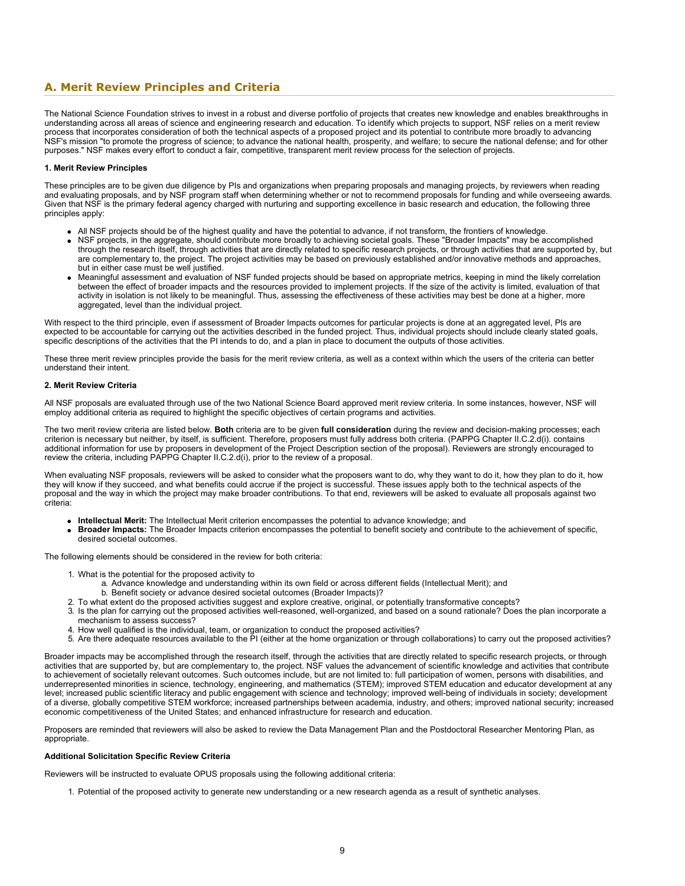# <span id="page-8-0"></span>**A. Merit Review Principles and Criteria**

The National Science Foundation strives to invest in a robust and diverse portfolio of projects that creates new knowledge and enables breakthroughs in understanding across all areas of science and engineering research and education. To identify which projects to support, NSF relies on a merit review process that incorporates consideration of both the technical aspects of a proposed project and its potential to contribute more broadly to advancing NSF's mission "to promote the progress of science; to advance the national health, prosperity, and welfare; to secure the national defense; and for other purposes." NSF makes every effort to conduct a fair, competitive, transparent merit review process for the selection of projects.

#### **1. Merit Review Principles**

These principles are to be given due diligence by PIs and organizations when preparing proposals and managing projects, by reviewers when reading and evaluating proposals, and by NSF program staff when determining whether or not to recommend proposals for funding and while overseeing awards. Given that NSF is the primary federal agency charged with nurturing and supporting excellence in basic research and education, the following three principles apply:

- All NSF projects should be of the highest quality and have the potential to advance, if not transform, the frontiers of knowledge.
- NSF projects, in the aggregate, should contribute more broadly to achieving societal goals. These "Broader Impacts" may be accomplished through the research itself, through activities that are directly related to specific research projects, or through activities that are supported by, but are complementary to, the project. The project activities may be based on previously established and/or innovative methods and approaches, but in either case must be well justified.
- Meaningful assessment and evaluation of NSF funded projects should be based on appropriate metrics, keeping in mind the likely correlation between the effect of broader impacts and the resources provided to implement projects. If the size of the activity is limited, evaluation of that activity in isolation is not likely to be meaningful. Thus, assessing the effectiveness of these activities may best be done at a higher, more aggregated, level than the individual project.

With respect to the third principle, even if assessment of Broader Impacts outcomes for particular projects is done at an aggregated level, PIs are expected to be accountable for carrying out the activities described in the funded project. Thus, individual projects should include clearly stated goals, specific descriptions of the activities that the PI intends to do, and a plan in place to document the outputs of those activities.

These three merit review principles provide the basis for the merit review criteria, as well as a context within which the users of the criteria can better understand their intent.

#### **2. Merit Review Criteria**

All NSF proposals are evaluated through use of the two National Science Board approved merit review criteria. In some instances, however, NSF will employ additional criteria as required to highlight the specific objectives of certain programs and activities.

The two merit review criteria are listed below. **Both** criteria are to be given **full consideration** during the review and decision-making processes; each criterion is necessary but neither, by itself, is sufficient. Therefore, proposers must fully address both criteria. (PAPPG Chapter II.C.2.d(i). contains additional information for use by proposers in development of the Project Description section of the proposal). Reviewers are strongly encouraged to review the criteria, including PAPPG Chapter II.C.2.d(i), prior to the review of a proposal.

When evaluating NSF proposals, reviewers will be asked to consider what the proposers want to do, why they want to do it, how they plan to do it, how they will know if they succeed, and what benefits could accrue if the project is successful. These issues apply both to the technical aspects of the proposal and the way in which the project may make broader contributions. To that end, reviewers will be asked to evaluate all proposals against two criteria:

- **Intellectual Merit:** The Intellectual Merit criterion encompasses the potential to advance knowledge; and
- **Broader Impacts:** The Broader Impacts criterion encompasses the potential to benefit society and contribute to the achievement of specific, desired societal outcomes.

The following elements should be considered in the review for both criteria:

- 1. What is the potential for the proposed activity to
	- a. Advance knowledge and understanding within its own field or across different fields (Intellectual Merit); and
	- b. Benefit society or advance desired societal outcomes (Broader Impacts)?
- 2. To what extent do the proposed activities suggest and explore creative, original, or potentially transformative concepts?
- 3. Is the plan for carrying out the proposed activities well-reasoned, well-organized, and based on a sound rationale? Does the plan incorporate a mechanism to assess success?
- 4. How well qualified is the individual, team, or organization to conduct the proposed activities?
- 5. Are there adequate resources available to the PI (either at the home organization or through collaborations) to carry out the proposed activities?

Broader impacts may be accomplished through the research itself, through the activities that are directly related to specific research projects, or through activities that are supported by, but are complementary to, the project. NSF values the advancement of scientific knowledge and activities that contribute to achievement of societally relevant outcomes. Such outcomes include, but are not limited to: full participation of women, persons with disabilities, and underrepresented minorities in science, technology, engineering, and mathematics (STEM); improved STEM education and educator development at any level; increased public scientific literacy and public engagement with science and technology; improved well-being of individuals in society; development of a diverse, globally competitive STEM workforce; increased partnerships between academia, industry, and others; improved national security; increased economic competitiveness of the United States; and enhanced infrastructure for research and education.

Proposers are reminded that reviewers will also be asked to review the Data Management Plan and the Postdoctoral Researcher Mentoring Plan, as appropriate.

#### **Additional Solicitation Specific Review Criteria**

Reviewers will be instructed to evaluate OPUS proposals using the following additional criteria:

1. Potential of the proposed activity to generate new understanding or a new research agenda as a result of synthetic analyses.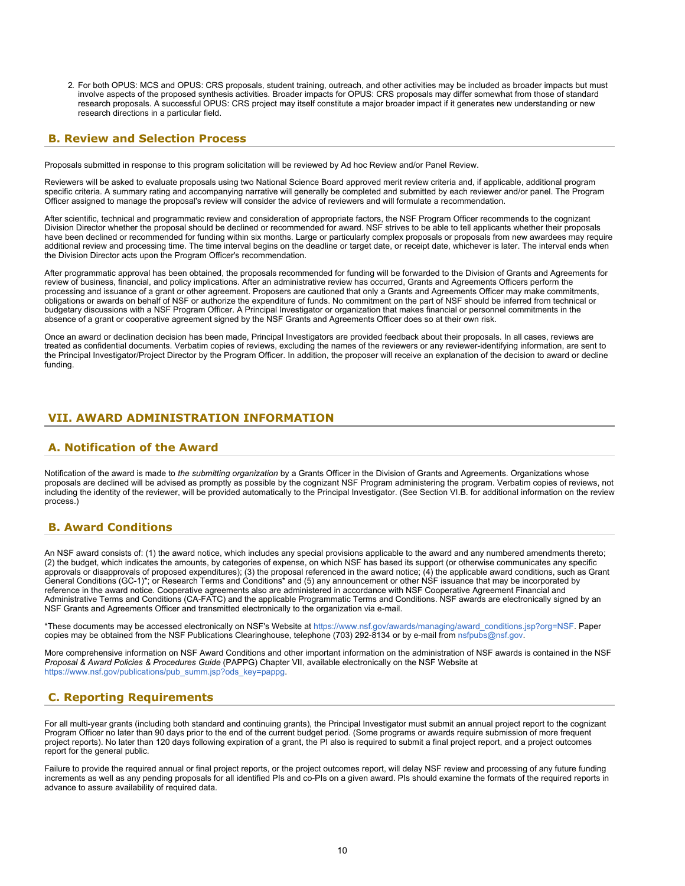2. For both OPUS: MCS and OPUS: CRS proposals, student training, outreach, and other activities may be included as broader impacts but must involve aspects of the proposed synthesis activities. Broader impacts for OPUS: CRS proposals may differ somewhat from those of standard research proposals. A successful OPUS: CRS project may itself constitute a major broader impact if it generates new understanding or new research directions in a particular field.

### <span id="page-9-0"></span>**B. Review and Selection Process**

Proposals submitted in response to this program solicitation will be reviewed by Ad hoc Review and/or Panel Review.

Reviewers will be asked to evaluate proposals using two National Science Board approved merit review criteria and, if applicable, additional program specific criteria. A summary rating and accompanying narrative will generally be completed and submitted by each reviewer and/or panel. The Program Officer assigned to manage the proposal's review will consider the advice of reviewers and will formulate a recommendation.

After scientific, technical and programmatic review and consideration of appropriate factors, the NSF Program Officer recommends to the cognizant Division Director whether the proposal should be declined or recommended for award. NSF strives to be able to tell applicants whether their proposals have been declined or recommended for funding within six months. Large or particularly complex proposals or proposals from new awardees may require additional review and processing time. The time interval begins on the deadline or target date, or receipt date, whichever is later. The interval ends when the Division Director acts upon the Program Officer's recommendation.

After programmatic approval has been obtained, the proposals recommended for funding will be forwarded to the Division of Grants and Agreements for review of business, financial, and policy implications. After an administrative review has occurred, Grants and Agreements Officers perform the processing and issuance of a grant or other agreement. Proposers are cautioned that only a Grants and Agreements Officer may make commitments, obligations or awards on behalf of NSF or authorize the expenditure of funds. No commitment on the part of NSF should be inferred from technical or budgetary discussions with a NSF Program Officer. A Principal Investigator or organization that makes financial or personnel commitments in the absence of a grant or cooperative agreement signed by the NSF Grants and Agreements Officer does so at their own risk.

Once an award or declination decision has been made, Principal Investigators are provided feedback about their proposals. In all cases, reviews are treated as confidential documents. Verbatim copies of reviews, excluding the names of the reviewers or any reviewer-identifying information, are sent to the Principal Investigator/Project Director by the Program Officer. In addition, the proposer will receive an explanation of the decision to award or decline funding.

### <span id="page-9-1"></span>**VII. AWARD ADMINISTRATION INFORMATION**

### <span id="page-9-2"></span>**A. Notification of the Award**

Notification of the award is made to the submitting organization by a Grants Officer in the Division of Grants and Agreements. Organizations whose proposals are declined will be advised as promptly as possible by the cognizant NSF Program administering the program. Verbatim copies of reviews, not including the identity of the reviewer, will be provided automatically to the Principal Investigator. (See Section VI.B. for additional information on the review process.)

### <span id="page-9-3"></span>**B. Award Conditions**

An NSF award consists of: (1) the award notice, which includes any special provisions applicable to the award and any numbered amendments thereto; (2) the budget, which indicates the amounts, by categories of expense, on which NSF has based its support (or otherwise communicates any specific approvals or disapprovals of proposed expenditures); (3) the proposal referenced in the award notice; (4) the applicable award conditions, such as Grant General Conditions (GC-1)\*; or Research Terms and Conditions\* and (5) any announcement or other NSF issuance that may be incorporated by reference in the award notice. Cooperative agreements also are administered in accordance with NSF Cooperative Agreement Financial and Administrative Terms and Conditions (CA-FATC) and the applicable Programmatic Terms and Conditions. NSF awards are electronically signed by an NSF Grants and Agreements Officer and transmitted electronically to the organization via e-mail.

\*These documents may be accessed electronically on NSF's Website at [https://www.nsf.gov/awards/managing/award\\_conditions.jsp?org=NSF](https://www.nsf.gov/awards/managing/award_conditions.jsp?org=NSF). Paper copies may be obtained from the NSF Publications Clearinghouse, telephone (703) 292-8134 or by e-mail from [nsfpubs@nsf.gov.](mailto:nsfpubs@nsf.gov)

More comprehensive information on NSF Award Conditions and other important information on the administration of NSF awards is contained in the NSF *Proposal & Award Policies & Procedures Guide* (PAPPG) Chapter VII, available electronically on the NSF Website at [https://www.nsf.gov/publications/pub\\_summ.jsp?ods\\_key=pappg.](https://www.nsf.gov/publications/pub_summ.jsp?ods_key=pappg)

# <span id="page-9-4"></span>**C. Reporting Requirements**

For all multi-year grants (including both standard and continuing grants), the Principal Investigator must submit an annual project report to the cognizant Program Officer no later than 90 days prior to the end of the current budget period. (Some programs or awards require submission of more frequent project reports). No later than 120 days following expiration of a grant, the PI also is required to submit a final project report, and a project outcomes report for the general public.

Failure to provide the required annual or final project reports, or the project outcomes report, will delay NSF review and processing of any future funding increments as well as any pending proposals for all identified PIs and co-PIs on a given award. PIs should examine the formats of the required reports in advance to assure availability of required data.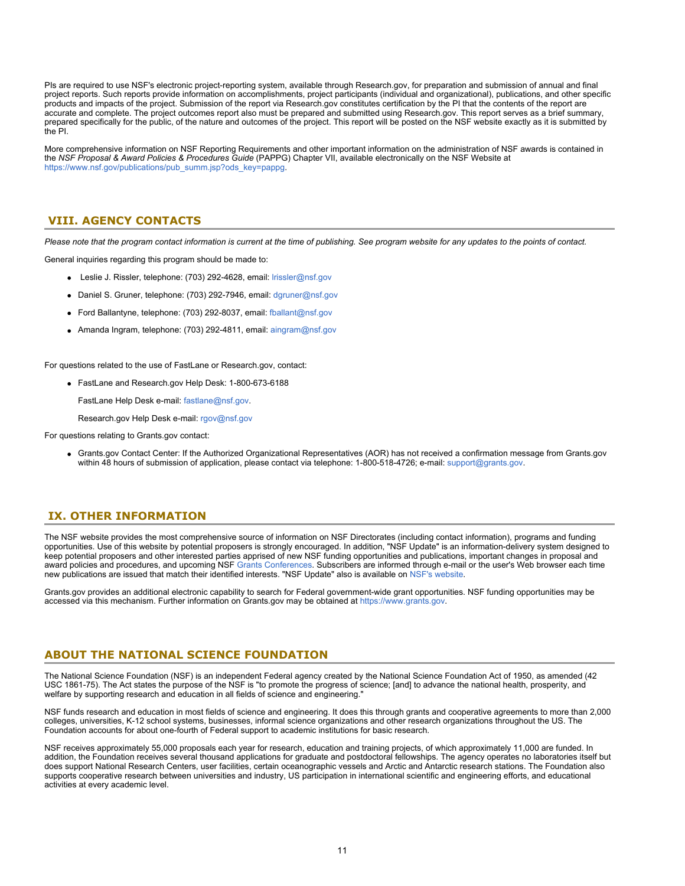PIs are required to use NSF's electronic project-reporting system, available through Research.gov, for preparation and submission of annual and final project reports. Such reports provide information on accomplishments, project participants (individual and organizational), publications, and other specific products and impacts of the project. Submission of the report via Research.gov constitutes certification by the PI that the contents of the report are accurate and complete. The project outcomes report also must be prepared and submitted using Research.gov. This report serves as a brief summary, prepared specifically for the public, of the nature and outcomes of the project. This report will be posted on the NSF website exactly as it is submitted by the PI.

More comprehensive information on NSF Reporting Requirements and other important information on the administration of NSF awards is contained in the *NSF Proposal & Award Policies & Procedures Guide* (PAPPG) Chapter VII, available electronically on the NSF Website at [https://www.nsf.gov/publications/pub\\_summ.jsp?ods\\_key=pappg.](https://www.nsf.gov/publications/pub_summ.jsp?ods_key=pappg)

### <span id="page-10-0"></span>**VIII. AGENCY CONTACTS**

*Please note that the program contact information is current at the time of publishing. See program website for any updates to the points of contact.*

General inquiries regarding this program should be made to:

- Leslie J. Rissler, telephone: (703) 292-4628, email: [lrissler@nsf.gov](mailto:lrissler@nsf.gov)
- Daniel S. Gruner, telephone: (703) 292-7946, email: [dgruner@nsf.gov](mailto:dgruner@nsf.gov)
- Ford Ballantyne, telephone: (703) 292-8037, email: [fballant@nsf.gov](mailto:fballant@nsf.gov)
- Amanda Ingram, telephone: (703) 292-4811, email: [aingram@nsf.gov](mailto:aingram@nsf.gov)

For questions related to the use of FastLane or Research.gov, contact:

FastLane and Research.gov Help Desk: 1-800-673-6188

FastLane Help Desk e-mail: [fastlane@nsf.gov](mailto:fastlane@nsf.gov).

Research.gov Help Desk e-mail: [rgov@nsf.gov](mailto:rgov@nsf.gov)

For questions relating to Grants.gov contact:

Grants.gov Contact Center: If the Authorized Organizational Representatives (AOR) has not received a confirmation message from Grants.gov within 48 hours of submission of application, please contact via telephone: 1-800-518-4726; e-mail: [support@grants.gov.](mailto:support@grants.gov)

# <span id="page-10-1"></span>**IX. OTHER INFORMATION**

The NSF website provides the most comprehensive source of information on NSF Directorates (including contact information), programs and funding opportunities. Use of this website by potential proposers is strongly encouraged. In addition, "NSF Update" is an information-delivery system designed to keep potential proposers and other interested parties apprised of new NSF funding opportunities and publications, important changes in proposal and award policies and procedures, and upcoming NSF [Grants Conferences](https://www.nsf.gov/bfa/dias/policy/outreach.jsp). Subscribers are informed through e-mail or the user's Web browser each time new publications are issued that match their identified interests. "NSF Update" also is available on [NSF's website](https://www.nsf.gov/cgi-bin/goodbye?https://public.govdelivery.com/accounts/USNSF/subscriber/new?topic_id=USNSF_179).

Grants.gov provides an additional electronic capability to search for Federal government-wide grant opportunities. NSF funding opportunities may be accessed via this mechanism. Further information on Grants.gov may be obtained at [https://www.grants.gov.](https://www.grants.gov/)

### **ABOUT THE NATIONAL SCIENCE FOUNDATION**

The National Science Foundation (NSF) is an independent Federal agency created by the National Science Foundation Act of 1950, as amended (42 USC 1861-75). The Act states the purpose of the NSF is "to promote the progress of science; [and] to advance the national health, prosperity, and welfare by supporting research and education in all fields of science and engineering."

NSF funds research and education in most fields of science and engineering. It does this through grants and cooperative agreements to more than 2,000 colleges, universities, K-12 school systems, businesses, informal science organizations and other research organizations throughout the US. The Foundation accounts for about one-fourth of Federal support to academic institutions for basic research.

NSF receives approximately 55,000 proposals each year for research, education and training projects, of which approximately 11,000 are funded. In addition, the Foundation receives several thousand applications for graduate and postdoctoral fellowships. The agency operates no laboratories itself but does support National Research Centers, user facilities, certain oceanographic vessels and Arctic and Antarctic research stations. The Foundation also supports cooperative research between universities and industry, US participation in international scientific and engineering efforts, and educational activities at every academic level.